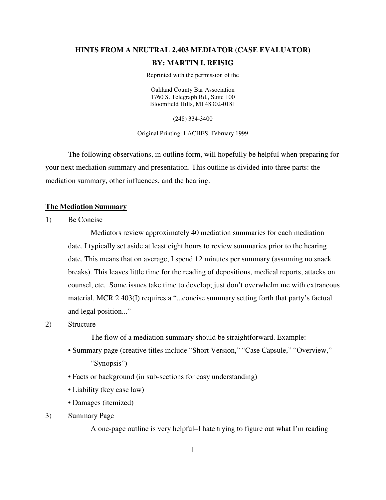# **HINTS FROM A NEUTRAL 2.403 MEDIATOR (CASE EVALUATOR) BY: MARTIN I. REISIG**

Reprinted with the permission of the

Oakland County Bar Association 1760 S. Telegraph Rd., Suite 100 Bloomfield Hills, MI 48302-0181

(248) 334-3400

Original Printing: LACHES, February 1999

 The following observations, in outline form, will hopefully be helpful when preparing for your next mediation summary and presentation. This outline is divided into three parts: the mediation summary, other influences, and the hearing.

#### **The Mediation Summary**

1) Be Concise

 Mediators review approximately 40 mediation summaries for each mediation date. I typically set aside at least eight hours to review summaries prior to the hearing date. This means that on average, I spend 12 minutes per summary (assuming no snack breaks). This leaves little time for the reading of depositions, medical reports, attacks on counsel, etc. Some issues take time to develop; just don't overwhelm me with extraneous material. MCR 2.403(I) requires a "...concise summary setting forth that party's factual and legal position..."

#### 2) Structure

The flow of a mediation summary should be straightforward. Example:

- Summary page (creative titles include "Short Version," "Case Capsule," "Overview," "Synopsis")
- Facts or background (in sub-sections for easy understanding)
- Liability (key case law)
- Damages (itemized)
- 3) Summary Page

A one-page outline is very helpful–I hate trying to figure out what I'm reading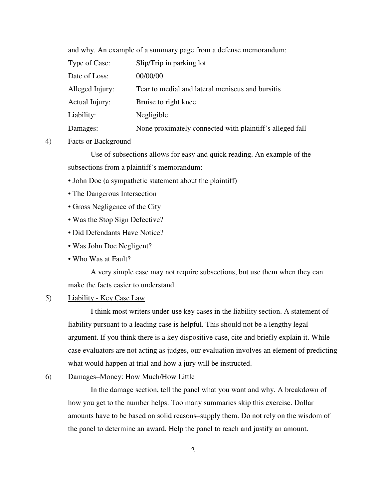and why. An example of a summary page from a defense memorandum:

| Type of Case:   | Slip/Trip in parking lot                                 |
|-----------------|----------------------------------------------------------|
| Date of Loss:   | 00/00/00                                                 |
| Alleged Injury: | Tear to medial and lateral meniscus and bursitis         |
| Actual Injury:  | Bruise to right knee                                     |
| Liability:      | Negligible                                               |
| Damages:        | None proximately connected with plaintiff's alleged fall |

#### 4) Facts or Background

 Use of subsections allows for easy and quick reading. An example of the subsections from a plaintiff's memorandum:

- John Doe (a sympathetic statement about the plaintiff)
- The Dangerous Intersection
- Gross Negligence of the City
- Was the Stop Sign Defective?
- Did Defendants Have Notice?
- Was John Doe Negligent?
- Who Was at Fault?

 A very simple case may not require subsections, but use them when they can make the facts easier to understand.

#### 5) Liability - Key Case Law

 I think most writers under-use key cases in the liability section. A statement of liability pursuant to a leading case is helpful. This should not be a lengthy legal argument. If you think there is a key dispositive case, cite and briefly explain it. While case evaluators are not acting as judges, our evaluation involves an element of predicting what would happen at trial and how a jury will be instructed.

#### 6) Damages–Money: How Much/How Little

 In the damage section, tell the panel what you want and why. A breakdown of how you get to the number helps. Too many summaries skip this exercise. Dollar amounts have to be based on solid reasons–supply them. Do not rely on the wisdom of the panel to determine an award. Help the panel to reach and justify an amount.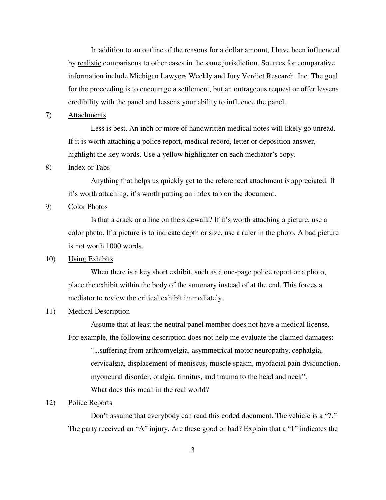In addition to an outline of the reasons for a dollar amount, I have been influenced by realistic comparisons to other cases in the same jurisdiction. Sources for comparative information include Michigan Lawyers Weekly and Jury Verdict Research, Inc. The goal for the proceeding is to encourage a settlement, but an outrageous request or offer lessens credibility with the panel and lessens your ability to influence the panel.

## 7) Attachments

 Less is best. An inch or more of handwritten medical notes will likely go unread. If it is worth attaching a police report, medical record, letter or deposition answer, highlight the key words. Use a yellow highlighter on each mediator's copy.

#### 8) Index or Tabs

 Anything that helps us quickly get to the referenced attachment is appreciated. If it's worth attaching, it's worth putting an index tab on the document.

## 9) Color Photos

 Is that a crack or a line on the sidewalk? If it's worth attaching a picture, use a color photo. If a picture is to indicate depth or size, use a ruler in the photo. A bad picture is not worth 1000 words.

## 10) Using Exhibits

When there is a key short exhibit, such as a one-page police report or a photo, place the exhibit within the body of the summary instead of at the end. This forces a mediator to review the critical exhibit immediately.

#### 11) Medical Description

 Assume that at least the neutral panel member does not have a medical license. For example, the following description does not help me evaluate the claimed damages:

"...suffering from arthromyelgia, asymmetrical motor neuropathy, cephalgia, cervicalgia, displacement of meniscus, muscle spasm, myofacial pain dysfunction, myoneural disorder, otalgia, tinnitus, and trauma to the head and neck". What does this mean in the real world?

# 12) Police Reports

 Don't assume that everybody can read this coded document. The vehicle is a "7." The party received an "A" injury. Are these good or bad? Explain that a "1" indicates the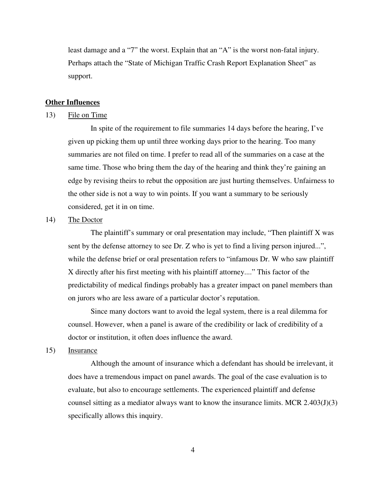least damage and a "7" the worst. Explain that an "A" is the worst non-fatal injury. Perhaps attach the "State of Michigan Traffic Crash Report Explanation Sheet" as support.

## **Other Influences**

#### 13) File on Time

 In spite of the requirement to file summaries 14 days before the hearing, I've given up picking them up until three working days prior to the hearing. Too many summaries are not filed on time. I prefer to read all of the summaries on a case at the same time. Those who bring them the day of the hearing and think they're gaining an edge by revising theirs to rebut the opposition are just hurting themselves. Unfairness to the other side is not a way to win points. If you want a summary to be seriously considered, get it in on time.

#### 14) The Doctor

 The plaintiff's summary or oral presentation may include, "Then plaintiff X was sent by the defense attorney to see Dr. Z who is yet to find a living person injured...", while the defense brief or oral presentation refers to "infamous Dr. W who saw plaintiff X directly after his first meeting with his plaintiff attorney...." This factor of the predictability of medical findings probably has a greater impact on panel members than on jurors who are less aware of a particular doctor's reputation.

 Since many doctors want to avoid the legal system, there is a real dilemma for counsel. However, when a panel is aware of the credibility or lack of credibility of a doctor or institution, it often does influence the award.

## 15) Insurance

 Although the amount of insurance which a defendant has should be irrelevant, it does have a tremendous impact on panel awards. The goal of the case evaluation is to evaluate, but also to encourage settlements. The experienced plaintiff and defense counsel sitting as a mediator always want to know the insurance limits. MCR 2.403(J)(3) specifically allows this inquiry.

4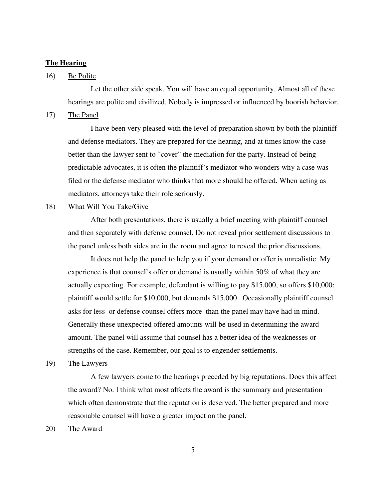#### **The Hearing**

## 16) Be Polite

 Let the other side speak. You will have an equal opportunity. Almost all of these hearings are polite and civilized. Nobody is impressed or influenced by boorish behavior.

17) The Panel

 I have been very pleased with the level of preparation shown by both the plaintiff and defense mediators. They are prepared for the hearing, and at times know the case better than the lawyer sent to "cover" the mediation for the party. Instead of being predictable advocates, it is often the plaintiff's mediator who wonders why a case was filed or the defense mediator who thinks that more should be offered. When acting as mediators, attorneys take their role seriously.

#### 18) What Will You Take/Give

 After both presentations, there is usually a brief meeting with plaintiff counsel and then separately with defense counsel. Do not reveal prior settlement discussions to the panel unless both sides are in the room and agree to reveal the prior discussions.

 It does not help the panel to help you if your demand or offer is unrealistic. My experience is that counsel's offer or demand is usually within 50% of what they are actually expecting. For example, defendant is willing to pay \$15,000, so offers \$10,000; plaintiff would settle for \$10,000, but demands \$15,000. Occasionally plaintiff counsel asks for less–or defense counsel offers more–than the panel may have had in mind. Generally these unexpected offered amounts will be used in determining the award amount. The panel will assume that counsel has a better idea of the weaknesses or strengths of the case. Remember, our goal is to engender settlements.

19) The Lawyers

 A few lawyers come to the hearings preceded by big reputations. Does this affect the award? No. I think what most affects the award is the summary and presentation which often demonstrate that the reputation is deserved. The better prepared and more reasonable counsel will have a greater impact on the panel.

20) The Award